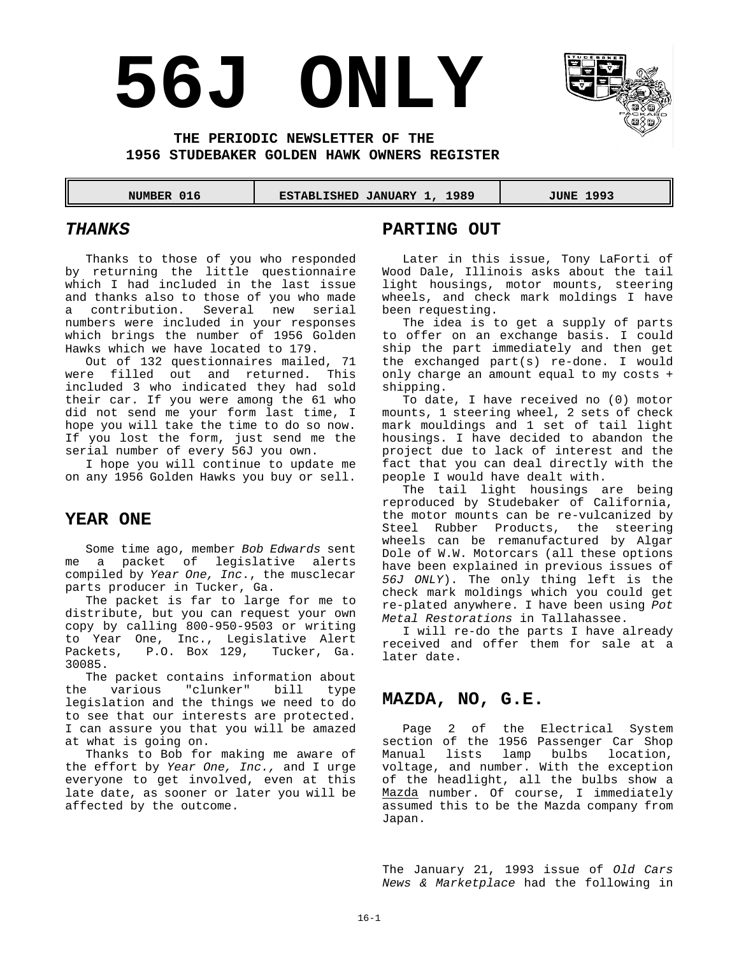# **56J ONLY**



#### **THE PERIODIC NEWSLETTER OF THE 1956 STUDEBAKER GOLDEN HAWK OWNERS REGISTER**

#### **NUMBER 016 | ESTABLISHED JANUARY 1, 1989 | JUNE 1993**

#### *THANKS*

Thanks to those of you who responded by returning the little questionnaire which I had included in the last issue and thanks also to those of you who made a contribution. Several new serial numbers were included in your responses which brings the number of 1956 Golden Hawks which we have located to 179.

Out of 132 questionnaires mailed, 71 were filled out and returned. This included 3 who indicated they had sold their car. If you were among the 61 who did not send me your form last time, I hope you will take the time to do so now. If you lost the form, just send me the serial number of every 56J you own.

I hope you will continue to update me on any 1956 Golden Hawks you buy or sell.

#### **YEAR ONE**

Some time ago, member *Bob Edwards* sent me a packet of legislative alerts compiled by *Year One, Inc*., the musclecar parts producer in Tucker, Ga.

The packet is far to large for me to distribute, but you can request your own copy by calling 800-950-9503 or writing to Year One, Inc., Legislative Alert Packets, P.O. Box 129, Tucker, Ga. 30085.

The packet contains information about the various "clunker" bill type legislation and the things we need to do to see that our interests are protected. I can assure you that you will be amazed at what is going on.

Thanks to Bob for making me aware of the effort by *Year One, Inc.,* and I urge everyone to get involved, even at this late date, as sooner or later you will be affected by the outcome.

#### **PARTING OUT**

Later in this issue, Tony LaForti of Wood Dale, Illinois asks about the tail light housings, motor mounts, steering wheels, and check mark moldings I have been requesting.

The idea is to get a supply of parts to offer on an exchange basis. I could ship the part immediately and then get the exchanged part(s) re-done. I would only charge an amount equal to my costs + shipping.

To date, I have received no (0) motor mounts, 1 steering wheel, 2 sets of check mark mouldings and 1 set of tail light housings. I have decided to abandon the project due to lack of interest and the fact that you can deal directly with the people I would have dealt with.

The tail light housings are being reproduced by Studebaker of California, the motor mounts can be re-vulcanized by Steel Rubber Products, the steering wheels can be remanufactured by Algar Dole of W.W. Motorcars (all these options have been explained in previous issues of *56J ONLY*). The only thing left is the check mark moldings which you could get re-plated anywhere. I have been using *Pot Metal Restorations* in Tallahassee.

I will re-do the parts I have already received and offer them for sale at a later date.

#### **MAZDA, NO, G.E.**

Page 2 of the Electrical System section of the 1956 Passenger Car Shop Manual lists lamp bulbs location, voltage, and number. With the exception of the headlight, all the bulbs show a Mazda number. Of course, I immediately assumed this to be the Mazda company from Japan.

The January 21, 1993 issue of *Old Cars News & Marketplace* had the following in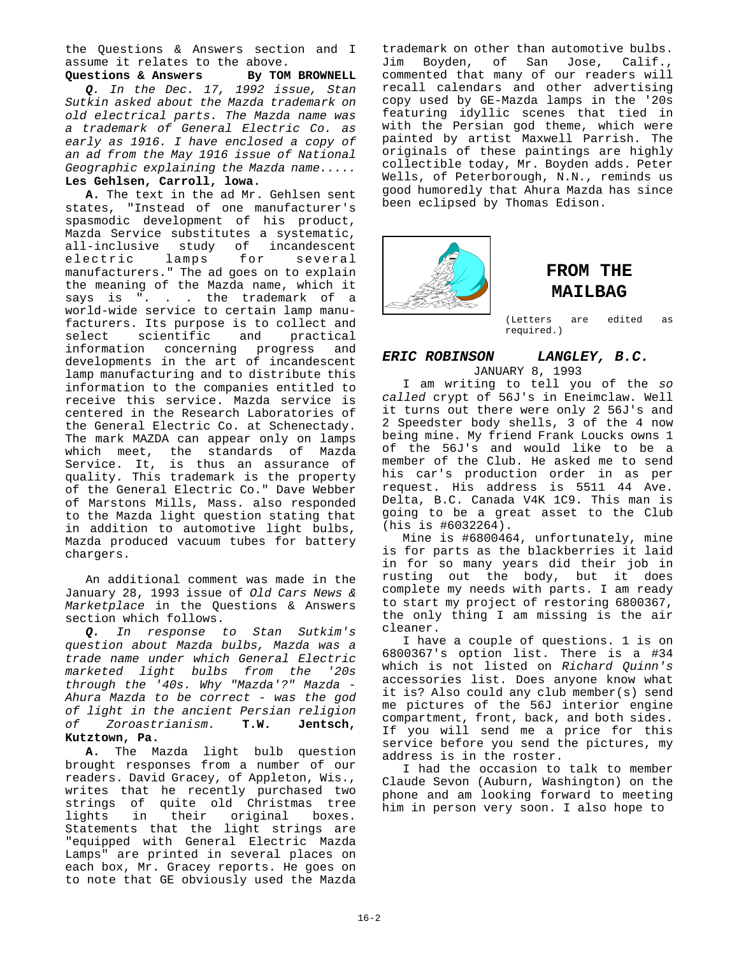the Questions & Answers section and I assume it relates to the above.

Questions & Answers By TOM BROWNELL *Q. In the Dec. 17, 1992 issue, Stan Sutkin asked about the Mazda trademark on old electrical parts. The Mazda name was a trademark of General Electric Co. as early as 1916. I have enclosed a copy of an ad from the May 1916 issue of National Geographic explaining the Mazda name.....* **Les Gehlsen, Carroll, lowa.**

**A.** The text in the ad Mr. Gehlsen sent states, "Instead of one manufacturer's spasmodic development of his product, Mazda Service substitutes a systematic, all-inclusive study of incandescent<br>electric lamps for several electric lamps for several manufacturers." The ad goes on to explain the meaning of the Mazda name, which it says is ". . . the trademark of a world-wide service to certain lamp manufacturers. Its purpose is to collect and select scientific and practical information concerning progress and developments in the art of incandescent lamp manufacturing and to distribute this information to the companies entitled to receive this service. Mazda service is centered in the Research Laboratories of the General Electric Co. at Schenectady. The mark MAZDA can appear only on lamps which meet, the standards of Mazda Service. It, is thus an assurance of quality. This trademark is the property of the General Electric Co." Dave Webber of Marstons Mills, Mass. also responded to the Mazda light question stating that in addition to automotive light bulbs, Mazda produced vacuum tubes for battery chargers.

An additional comment was made in the January 28, 1993 issue of *Old Cars News & Marketplace* in the Questions & Answers section which follows.

*Q. In response to Stan Sutkim's question about Mazda bulbs, Mazda was a trade name under which General Electric marketed light bulbs from the '20s through the '40s. Why "Mazda'?" Mazda - Ahura Mazda to be correct - was the god of light in the ancient Persian religion of Zoroastrianism.* **T.W. Jentsch, Kutztown, Pa.**

**A.** The Mazda light bulb question brought responses from a number of our readers. David Gracey, of Appleton, Wis., writes that he recently purchased two strings of quite old Christmas tree<br>lights in their original boxes. lights in their Statements that the light strings are "equipped with General Electric Mazda Lamps" are printed in several places on each box, Mr. Gracey reports. He goes on to note that GE obviously used the Mazda trademark on other than automotive bulbs. Jim Boyden, of San Jose, Calif., commented that many of our readers will recall calendars and other advertising copy used by GE-Mazda lamps in the '20s featuring idyllic scenes that tied in with the Persian god theme, which were painted by artist Maxwell Parrish. The originals of these paintings are highly collectible today, Mr. Boyden adds. Peter Wells, of Peterborough, N.N., reminds us good humoredly that Ahura Mazda has since been eclipsed by Thomas Edison.



## **FROM THE MAILBAG**

(Letters are edited as required.)

#### *ERIC ROBINSON LANGLEY, B.C.* JANUARY 8, 1993

I am writing to tell you of the *so called* crypt of 56J's in Eneimclaw. Well it turns out there were only 2 56J's and 2 Speedster body shells, 3 of the 4 now being mine. My friend Frank Loucks owns 1 of the 56J's and would like to be a member of the Club. He asked me to send his car's production order in as per request. His address is 5511 44 Ave. Delta, B.C. Canada V4K 1C9. This man is going to be a great asset to the Club (his is #6032264).

Mine is #6800464, unfortunately, mine is for parts as the blackberries it laid in for so many years did their job in rusting out the body, but it does complete my needs with parts. I am ready to start my project of restoring 6800367, the only thing I am missing is the air cleaner.

I have a couple of questions. 1 is on 6800367's option list. There is a #34 which is not listed on *Richard Quinn's* accessories list. Does anyone know what it is? Also could any club member(s) send me pictures of the 56J interior engine compartment, front, back, and both sides. If you will send me a price for this service before you send the pictures, my address is in the roster.

I had the occasion to talk to member Claude Sevon (Auburn, Washington) on the phone and am looking forward to meeting him in person very soon. I also hope to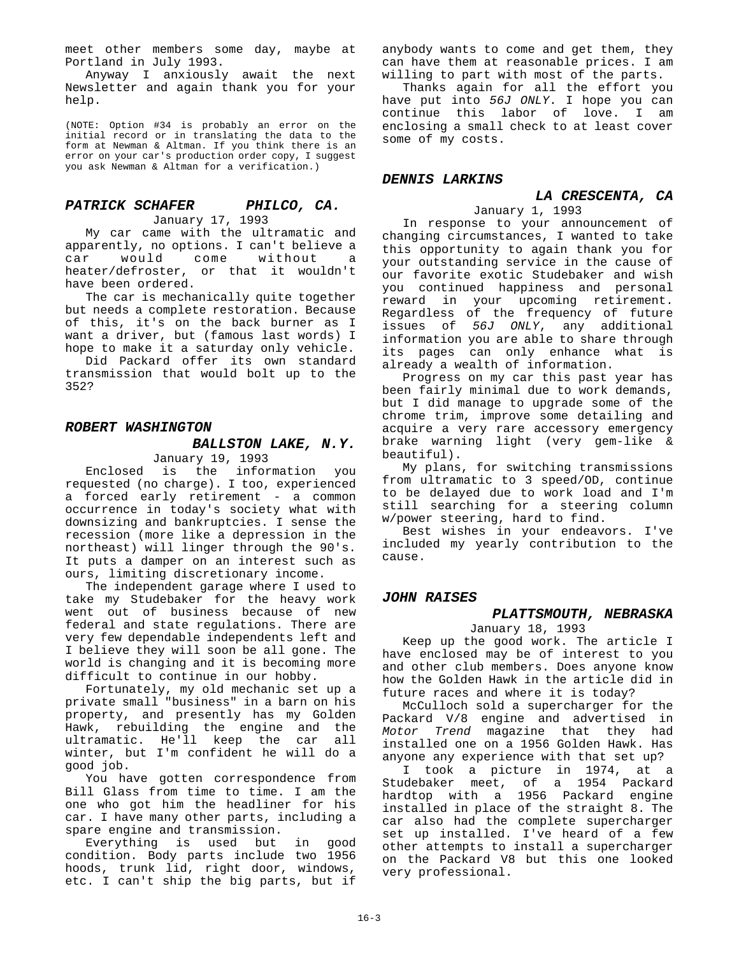meet other members some day, maybe at Portland in July 1993.

Anyway I anxiously await the next Newsletter and again thank you for your help.

(NOTE: Option #34 is probably an error on the initial record or in translating the data to the form at Newman & Altman. If you think there is an error on your car's production order copy, I suggest you ask Newman & Altman for a verification.)

#### *PATRICK SCHAFER PHILCO, CA.* January 17, 1993

My car came with the ultramatic and apparently, no options. I can't believe a<br>car would come without a car would come without a heater/defroster, or that it wouldn't have been ordered.

The car is mechanically quite together but needs a complete restoration. Because of this, it's on the back burner as I want a driver, but (famous last words) I hope to make it a saturday only vehicle.

Did Packard offer its own standard transmission that would bolt up to the 352?

#### *ROBERT WASHINGTON*

#### *BALLSTON LAKE, N.Y.*

January 19, 1993

Enclosed is the information you requested (no charge). I too, experienced a forced early retirement - a common occurrence in today's society what with downsizing and bankruptcies. I sense the recession (more like a depression in the northeast) will linger through the 90's. It puts a damper on an interest such as ours, limiting discretionary income.

The independent garage where I used to take my Studebaker for the heavy work went out of business because of new federal and state regulations. There are very few dependable independents left and I believe they will soon be all gone. The world is changing and it is becoming more difficult to continue in our hobby.

Fortunately, my old mechanic set up a private small "business" in a barn on his property, and presently has my Golden Hawk, rebuilding the engine and the ultramatic. He'll keep the car all winter, but I'm confident he will do a good job.

You have gotten correspondence from Bill Glass from time to time. I am the one who got him the headliner for his car. I have many other parts, including a spare engine and transmission.

Everything is used but in good condition. Body parts include two 1956 hoods, trunk lid, right door, windows, etc. I can't ship the big parts, but if

anybody wants to come and get them, they can have them at reasonable prices. I am willing to part with most of the parts.

Thanks again for all the effort you have put into *56J ONLY*. I hope you can continue this labor of love. I am enclosing a small check to at least cover some of my costs.

#### *DENNIS LARKINS*

# *LA CRESCENTA, CA*

January 1, 1993 In response to your announcement of changing circumstances, I wanted to take this opportunity to again thank you for your outstanding service in the cause of our favorite exotic Studebaker and wish you continued happiness and personal reward in your upcoming retirement. Regardless of the frequency of future issues of *56J ONLY*, any additional information you are able to share through its pages can only enhance what is already a wealth of information.

Progress on my car this past year has been fairly minimal due to work demands, but I did manage to upgrade some of the chrome trim, improve some detailing and acquire a very rare accessory emergency brake warning light (very gem-like & beautiful).

My plans, for switching transmissions from ultramatic to 3 speed/OD, continue to be delayed due to work load and I'm still searching for a steering column w/power steering, hard to find.

Best wishes in your endeavors. I've included my yearly contribution to the cause.

#### *JOHN RAISES*

#### *PLATTSMOUTH, NEBRASKA*

January 18, 1993

Keep up the good work. The article I have enclosed may be of interest to you and other club members. Does anyone know how the Golden Hawk in the article did in future races and where it is today?

McCulloch sold a supercharger for the Packard V/8 engine and advertised in *Motor Trend* magazine that they had installed one on a 1956 Golden Hawk. Has anyone any experience with that set up?

I took a picture in 1974, at a Studebaker meet, of a 1954 Packard hardtop with a 1956 Packard engine installed in place of the straight 8. The car also had the complete supercharger set up installed. I've heard of a few other attempts to install a supercharger on the Packard V8 but this one looked very professional.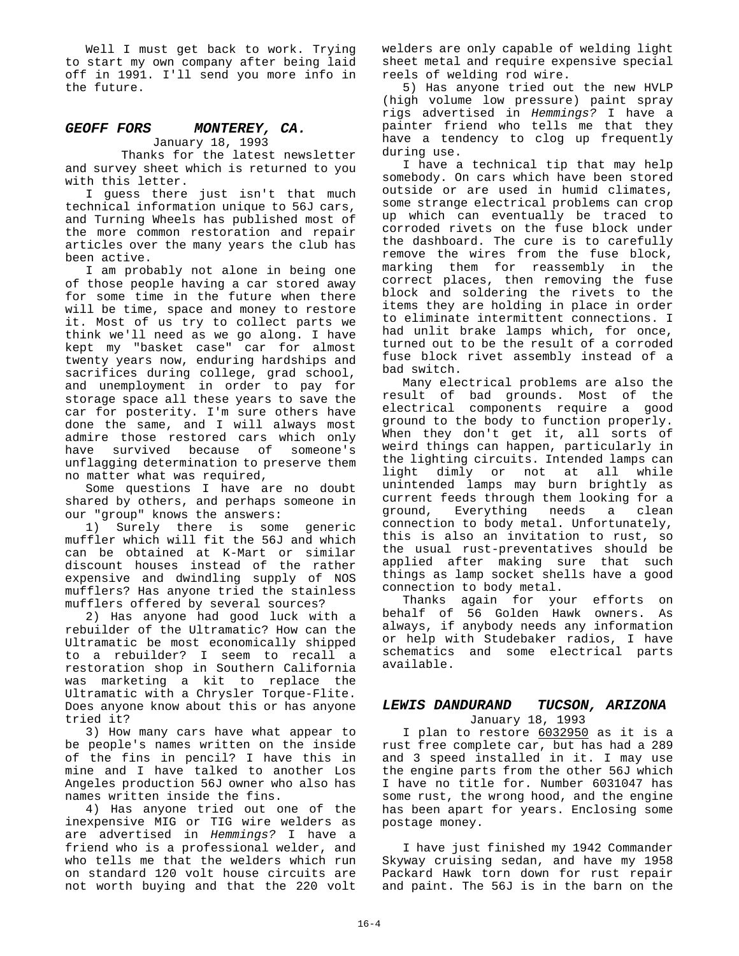Well I must get back to work. Trying to start my own company after being laid off in 1991. I'll send you more info in the future.

#### *GEOFF FORS MONTEREY, CA.* January 18, 1993

Thanks for the latest newsletter and survey sheet which is returned to you with this letter.

I guess there just isn't that much technical information unique to 56J cars, and Turning Wheels has published most of the more common restoration and repair articles over the many years the club has been active.

I am probably not alone in being one of those people having a car stored away for some time in the future when there will be time, space and money to restore it. Most of us try to collect parts we think we'll need as we go along. I have kept my "basket case" car for almost twenty years now, enduring hardships and sacrifices during college, grad school, and unemployment in order to pay for storage space all these years to save the car for posterity. I'm sure others have done the same, and I will always most admire those restored cars which only have survived because of someone's unflagging determination to preserve them no matter what was required,

Some questions I have are no doubt shared by others, and perhaps someone in our "group" knows the answers:

1) Surely there is some generic muffler which will fit the 56J and which can be obtained at K-Mart or similar discount houses instead of the rather expensive and dwindling supply of NOS mufflers? Has anyone tried the stainless mufflers offered by several sources?

2) Has anyone had good luck with a rebuilder of the Ultramatic? How can the Ultramatic be most economically shipped to a rebuilder? I seem to recall a restoration shop in Southern California was marketing a kit to replace the Ultramatic with a Chrysler Torque-Flite. Does anyone know about this or has anyone tried it?

3) How many cars have what appear to be people's names written on the inside of the fins in pencil? I have this in mine and I have talked to another Los Angeles production 56J owner who also has names written inside the fins.

4) Has anyone tried out one of the inexpensive MIG or TIG wire welders as are advertised in *Hemmings?* I have a friend who is a professional welder, and who tells me that the welders which run on standard 120 volt house circuits are not worth buying and that the 220 volt

welders are only capable of welding light sheet metal and require expensive special reels of welding rod wire.

5) Has anyone tried out the new HVLP (high volume low pressure) paint spray rigs advertised in *Hemmings?* I have a painter friend who tells me that they have a tendency to clog up frequently during use.

I have a technical tip that may help somebody. On cars which have been stored outside or are used in humid climates, some strange electrical problems can crop up which can eventually be traced to corroded rivets on the fuse block under the dashboard. The cure is to carefully remove the wires from the fuse block, marking them for reassembly in the correct places, then removing the fuse block and soldering the rivets to the items they are holding in place in order to eliminate intermittent connections. I had unlit brake lamps which, for once, turned out to be the result of a corroded fuse block rivet assembly instead of a bad switch.

Many electrical problems are also the result of bad grounds. Most of the electrical components require a good ground to the body to function properly. When they don't get it, all sorts of weird things can happen, particularly in the lighting circuits. Intended lamps can light dimly or not at all while unintended lamps may burn brightly as current feeds through them looking for a ground, Everything needs a clean connection to body metal. Unfortunately, this is also an invitation to rust, so the usual rust-preventatives should be applied after making sure that such things as lamp socket shells have a good connection to body metal.

Thanks again for your efforts on behalf of 56 Golden Hawk owners. As always, if anybody needs any information or help with Studebaker radios, I have schematics and some electrical parts available.

#### *LEWIS DANDURAND TUCSON, ARIZONA* January 18, 1993

I plan to restore 6032950 as it is a rust free complete car, but has had a 289 and 3 speed installed in it. I may use the engine parts from the other 56J which I have no title for. Number 6031047 has some rust, the wrong hood, and the engine has been apart for years. Enclosing some postage money.

I have just finished my 1942 Commander Skyway cruising sedan, and have my 1958 Packard Hawk torn down for rust repair and paint. The 56J is in the barn on the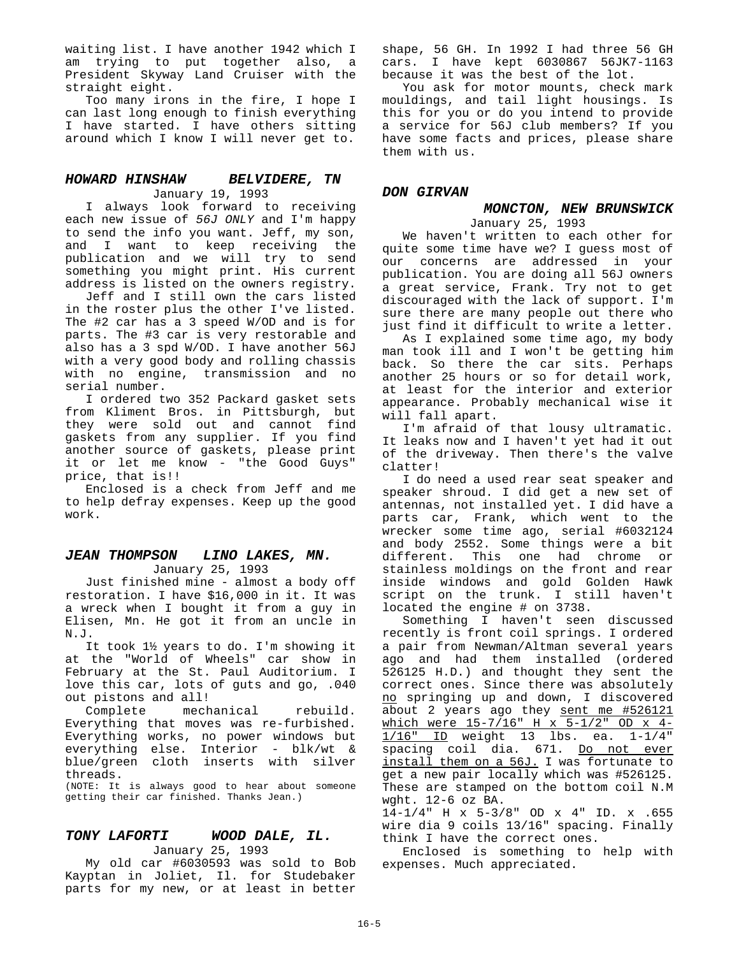waiting list. I have another 1942 which I am trying to put together also, a President Skyway Land Cruiser with the straight eight.

Too many irons in the fire, I hope I can last long enough to finish everything I have started. I have others sitting around which I know I will never get to.

#### *HOWARD HINSHAW BELVIDERE, TN* January 19, 1993

I always look forward to receiving each new issue of *56J ONLY* and I'm happy to send the info you want. Jeff, my son, and I want to keep receiving the publication and we will try to send something you might print. His current address is listed on the owners registry.

Jeff and I still own the cars listed in the roster plus the other I've listed. The #2 car has a 3 speed W/OD and is for parts. The #3 car is very restorable and also has a 3 spd W/OD. I have another 56J with a very good body and rolling chassis with no engine, transmission and no serial number.

I ordered two 352 Packard gasket sets from Kliment Bros. in Pittsburgh, but they were sold out and cannot find gaskets from any supplier. If you find another source of gaskets, please print it or let me know - "the Good Guys" price, that is!!

Enclosed is a check from Jeff and me to help defray expenses. Keep up the good work.

#### *JEAN THOMPSON LINO LAKES, MN.* January 25, 1993

Just finished mine - almost a body off restoration. I have \$16,000 in it. It was a wreck when I bought it from a guy in Elisen, Mn. He got it from an uncle in N.J.

It took 1½ years to do. I'm showing it at the "World of Wheels" car show in February at the St. Paul Auditorium. I love this car, lots of guts and go, .040 out pistons and all!

Complete mechanical rebuild. Everything that moves was re-furbished. Everything works, no power windows but everything else. Interior - blk/wt & blue/green cloth inserts with silver threads.

(NOTE: It is always good to hear about someone getting their car finished. Thanks Jean.)

#### *TONY LAFORTI WOOD DALE, IL.*

January 25, 1993

My old car #6030593 was sold to Bob Kayptan in Joliet, Il. for Studebaker parts for my new, or at least in better shape, 56 GH. In 1992 I had three 56 GH cars. I have kept 6030867 56JK7-1163 because it was the best of the lot.

You ask for motor mounts, check mark mouldings, and tail light housings. Is this for you or do you intend to provide a service for 56J club members? If you have some facts and prices, please share them with us.

#### *DON GIRVAN*

#### *MONCTON, NEW BRUNSWICK* January 25, 1993

We haven't written to each other for quite some time have we? I guess most of our concerns are addressed in your publication. You are doing all 56J owners a great service, Frank. Try not to get discouraged with the lack of support. I'm sure there are many people out there who just find it difficult to write a letter.

As I explained some time ago, my body man took ill and I won't be getting him back. So there the car sits. Perhaps another 25 hours or so for detail work, at least for the interior and exterior appearance. Probably mechanical wise it will fall apart.

I'm afraid of that lousy ultramatic. It leaks now and I haven't yet had it out of the driveway. Then there's the valve clatter!

I do need a used rear seat speaker and speaker shroud. I did get a new set of antennas, not installed yet. I did have a parts car, Frank, which went to the wrecker some time ago, serial #6032124 and body 2552. Some things were a bit different. This one had chrome or stainless moldings on the front and rear inside windows and gold Golden Hawk script on the trunk. I still haven't located the engine # on 3738.

Something I haven't seen discussed recently is front coil springs. I ordered a pair from Newman/Altman several years ago and had them installed (ordered 526125 H.D.) and thought they sent the correct ones. Since there was absolutely no springing up and down, I discovered about 2 years ago they sent me #526121 which were 15-7/16" H x 5-1/2" OD x 4- 1/16" ID weight 13 lbs. ea. 1-1/4" spacing coil dia. 671. Do not ever install them on a 56J. I was fortunate to get a new pair locally which was #526125. These are stamped on the bottom coil N.M wght. 12-6 oz BA.

14-1/4" H x 5-3/8" OD x 4" ID. x .655 wire dia 9 coils 13/16" spacing. Finally think I have the correct ones.

Enclosed is something to help with expenses. Much appreciated.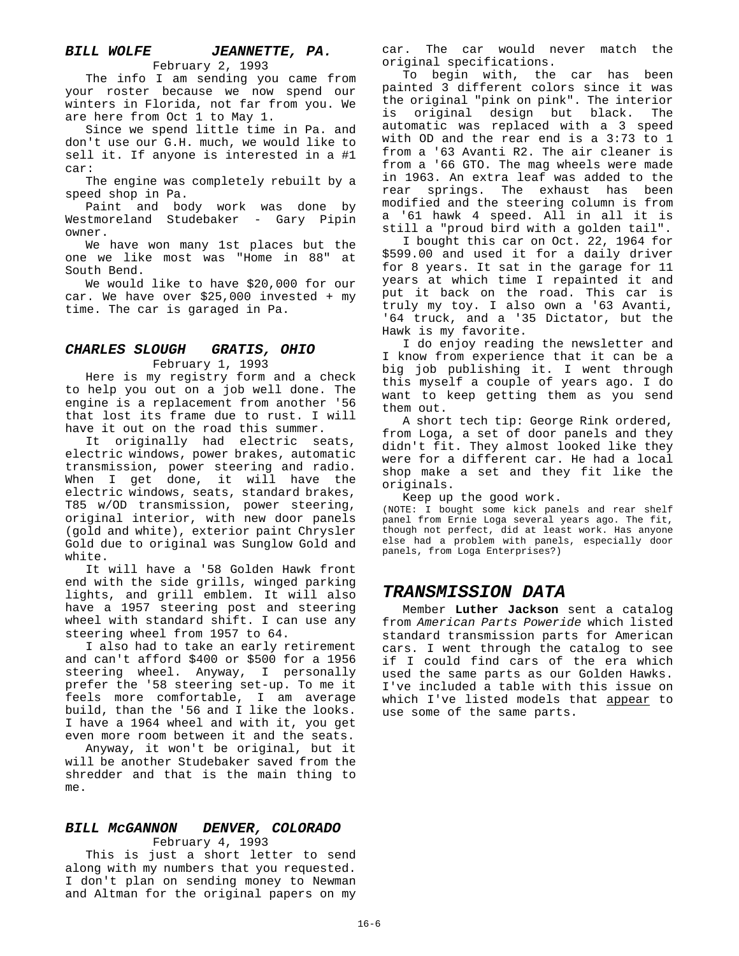## *BILL WOLFE JEANNETTE, PA.*

February 2, 1993

The info I am sending you came from your roster because we now spend our winters in Florida, not far from you. We are here from Oct 1 to May 1.

Since we spend little time in Pa. and don't use our G.H. much, we would like to sell it. If anyone is interested in a #1 car:

The engine was completely rebuilt by a speed shop in Pa.

Paint and body work was done by Westmoreland Studebaker - Gary Pipin owner.

We have won many 1st places but the one we like most was "Home in 88" at South Bend.

We would like to have \$20,000 for our car. We have over \$25,000 invested + my time. The car is garaged in Pa.

#### *CHARLES SLOUGH GRATIS, OHIO*

February 1, 1993

Here is my registry form and a check to help you out on a job well done. The engine is a replacement from another '56 that lost its frame due to rust. I will have it out on the road this summer.

It originally had electric seats, electric windows, power brakes, automatic transmission, power steering and radio. When I get done, it will have the electric windows, seats, standard brakes, T85 w/OD transmission, power steering, original interior, with new door panels (gold and white), exterior paint Chrysler Gold due to original was Sunglow Gold and white.

It will have a '58 Golden Hawk front end with the side grills, winged parking lights, and grill emblem. It will also have a 1957 steering post and steering wheel with standard shift. I can use any steering wheel from 1957 to 64.

I also had to take an early retirement and can't afford \$400 or \$500 for a 1956 steering wheel. Anyway, I personally prefer the '58 steering set-up. To me it feels more comfortable, I am average build, than the '56 and I like the looks. I have a 1964 wheel and with it, you get even more room between it and the seats.

Anyway, it won't be original, but it will be another Studebaker saved from the shredder and that is the main thing to me.

#### *BILL McGANNON DENVER, COLORADO*

February 4, 1993

This is just a short letter to send along with my numbers that you requested. I don't plan on sending money to Newman and Altman for the original papers on my car. The car would never match the original specifications.

To begin with, the car has been painted 3 different colors since it was the original "pink on pink". The interior is original design but black. The automatic was replaced with a 3 speed with OD and the rear end is a 3:73 to 1 from a '63 Avanti R2. The air cleaner is from a '66 GTO. The mag wheels were made in 1963. An extra leaf was added to the rear springs. The exhaust has been modified and the steering column is from a '61 hawk 4 speed. All in all it is still a "proud bird with a golden tail".

I bought this car on Oct. 22, 1964 for \$599.00 and used it for a daily driver for 8 years. It sat in the garage for 11 years at which time I repainted it and put it back on the road. This car is truly my toy. I also own a '63 Avanti, '64 truck, and a '35 Dictator, but the Hawk is my favorite.

I do enjoy reading the newsletter and I know from experience that it can be a big job publishing it. I went through this myself a couple of years ago. I do want to keep getting them as you send them out.

A short tech tip: George Rink ordered, from Loga, a set of door panels and they didn't fit. They almost looked like they were for a different car. He had a local shop make a set and they fit like the originals.

Keep up the good work.

(NOTE: I bought some kick panels and rear shelf panel from Ernie Loga several years ago. The fit, though not perfect, did at least work. Has anyone else had a problem with panels, especially door panels, from Loga Enterprises?)

#### *TRANSMISSION DATA*

Member **Luther Jackson** sent a catalog from *American Parts Poweride* which listed standard transmission parts for American cars. I went through the catalog to see if I could find cars of the era which used the same parts as our Golden Hawks. I've included a table with this issue on which I've listed models that appear to use some of the same parts.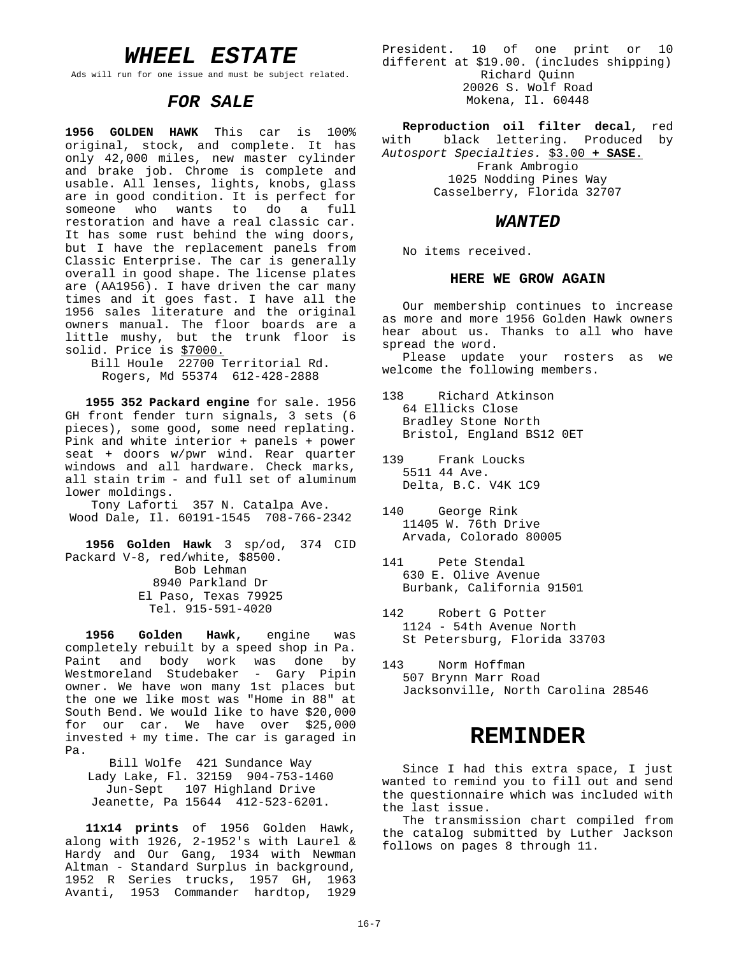## *WHEEL ESTATE*

Ads will run for one issue and must be subject related.

#### *FOR SALE*

**1956 GOLDEN HAWK** This car is 100% original, stock, and complete. It has only 42,000 miles, new master cylinder and brake job. Chrome is complete and usable. All lenses, lights, knobs, glass are in good condition. It is perfect for someone who wants to do a full restoration and have a real classic car. It has some rust behind the wing doors, but I have the replacement panels from Classic Enterprise. The car is generally overall in good shape. The license plates are (AA1956). I have driven the car many times and it goes fast. I have all the 1956 sales literature and the original owners manual. The floor boards are a little mushy, but the trunk floor is solid. Price is \$7000.

Bill Houle 22700 Territorial Rd. Rogers, Md 55374 612-428-2888

**1955 352 Packard engine** for sale. 1956 GH front fender turn signals, 3 sets (6 pieces), some good, some need replating. Pink and white interior + panels + power seat + doors w/pwr wind. Rear quarter windows and all hardware. Check marks, all stain trim - and full set of aluminum lower moldings.

Tony Laforti 357 N. Catalpa Ave. Wood Dale, Il. 60191-1545 708-766-2342

**1956 Golden Hawk** 3 sp/od, 374 CID Packard V-8, red/white, \$8500. Bob Lehman 8940 Parkland Dr El Paso, Texas 79925 Tel. 915-591-4020

**1956 Golden Hawk,** engine was completely rebuilt by a speed shop in Pa. Paint and body work was done by Westmoreland Studebaker - Gary Pipin owner. We have won many 1st places but the one we like most was "Home in 88" at South Bend. We would like to have \$20,000 for our car. We have over \$25,000 invested + my time. The car is garaged in Pa.

Bill Wolfe 421 Sundance Way Lady Lake, Fl. 32159 904-753-1460 Jun-Sept 107 Highland Drive Jeanette, Pa 15644 412-523-6201.

**11x14 prints** of 1956 Golden Hawk, along with 1926, 2-1952's with Laurel & Hardy and Our Gang, 1934 with Newman Altman - Standard Surplus in background, 1952 R Series trucks, 1957 GH, 1963 Avanti, 1953 Commander hardtop, 1929

President. 10 of one print or 10 different at \$19.00. (includes shipping) Richard Quinn 20026 S. Wolf Road Mokena, Il. 60448

**Reproduction oil filter decal**, red with black lettering. Produced by *Autosport Specialties.* \$3.00 **+ SASE**. Frank Ambrogio 1025 Nodding Pines Way Casselberry, Florida 32707

#### *WANTED*

No items received.

#### **HERE WE GROW AGAIN**

Our membership continues to increase as more and more 1956 Golden Hawk owners hear about us. Thanks to all who have spread the word.

Please update your rosters as we welcome the following members.

138 Richard Atkinson 64 Ellicks Close Bradley Stone North Bristol, England BS12 0ET

139 Frank Loucks 5511 44 Ave. Delta, B.C. V4K 1C9

- 140 George Rink 11405 W. 76th Drive Arvada, Colorado 80005
- 141 Pete Stendal 630 E. Olive Avenue Burbank, California 91501
- 142 Robert G Potter 1124 - 54th Avenue North St Petersburg, Florida 33703
- 143 Norm Hoffman 507 Brynn Marr Road Jacksonville, North Carolina 28546

## **REMINDER**

Since I had this extra space, I just wanted to remind you to fill out and send the questionnaire which was included with the last issue.

The transmission chart compiled from the catalog submitted by Luther Jackson follows on pages 8 through 11.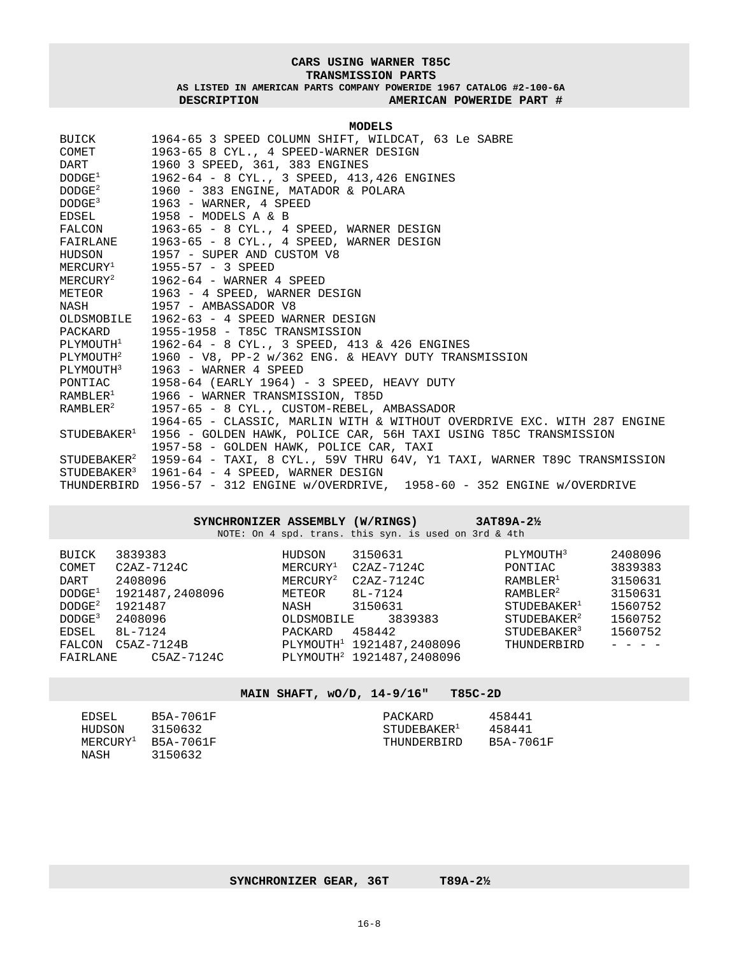#### **CARS USING WARNER T85C TRANSMISSION PARTS**

**AS LISTED IN AMERICAN PARTS COMPANY POWERIDE 1967 CATALOG #2-100-6A DESCRIPTION AMERICAN POWERIDE PART #**

#### **MODELS**

| BUICK                             | 1964-65 3 SPEED COLUMN SHIFT, WILDCAT, 63 Le SABRE                                              |
|-----------------------------------|-------------------------------------------------------------------------------------------------|
| COMET                             | 1963-65 8 CYL., 4 SPEED-WARNER DESIGN                                                           |
| <b>DART</b>                       | 1960 3 SPEED, 361, 383 ENGINES                                                                  |
| $\mathrm{DODGE^1}$                | 1962-64 - 8 CYL., 3 SPEED, 413,426 ENGINES                                                      |
| $\texttt{DODGE}^2$                | 1960 - 383 ENGINE, MATADOR & POLARA                                                             |
| $\rm{DODGE^3}$                    | 1963 - WARNER, 4 SPEED                                                                          |
|                                   | EDSEL 1958 - MODELS A & B                                                                       |
|                                   | FALCON 1963-65 - 8 CYL., 4 SPEED, WARNER DESIGN                                                 |
|                                   | FAIRLANE 1963-65 - 8 CYL., 4 SPEED, WARNER DESIGN                                               |
|                                   | HUDSON 1957 - SUPER AND CUSTOM V8                                                               |
|                                   | $MERCURY1$ 1955-57 - 3 SPEED                                                                    |
|                                   | $MERCURY2$ 1962-64 - WARNER 4 SPEED                                                             |
|                                   | METEOR 1963 - 4 SPEED, WARNER DESIGN                                                            |
|                                   | NASH 1957 - AMBASSADOR V8                                                                       |
|                                   | OLDSMOBILE 1962-63 - 4 SPEED WARNER DESIGN                                                      |
|                                   | PACKARD 1955-1958 - T85C TRANSMISSION                                                           |
|                                   | PLYMOUTH <sup>1</sup> 1962-64 - 8 CYL., 3 SPEED, 413 & 426 ENGINES                              |
| PLYMOUTH <sup>2</sup>             | 1960 - V8, PP-2 w/362 ENG. & HEAVY DUTY TRANSMISSION                                            |
| PLYMOUTH <sup>3</sup>             | 1963 - WARNER 4 SPEED                                                                           |
|                                   | PONTIAC 1958-64 (EARLY 1964) - 3 SPEED, HEAVY DUTY                                              |
|                                   | RAMBLER <sup>1</sup> 1966 - WARNER TRANSMISSION, T85D                                           |
| $\mathbb{R}$ AMBLE $\mathbb{R}^2$ | 1957-65 - 8 CYL., CUSTOM-REBEL, AMBASSADOR                                                      |
|                                   | 1964-65 - CLASSIC, MARLIN WITH & WITHOUT OVERDRIVE EXC. WITH 287 ENGINE                         |
| STUDEBAKER <sup>1</sup>           | 1956 - GOLDEN HAWK, POLICE CAR, 56H TAXI USING T85C TRANSMISSION                                |
|                                   | 1957-58 - GOLDEN HAWK, POLICE CAR, TAXI                                                         |
|                                   | STUDEBAKER <sup>2</sup> 1959-64 - TAXI, 8 CYL., 59V THRU 64V, Y1 TAXI, WARNER T89C TRANSMISSION |
| STUDEBAKER <sup>3</sup>           | 1961-64 - 4 SPEED, WARNER DESIGN                                                                |
|                                   | THUNDERBIRD 1956-57 - 312 ENGINE w/OVERDRIVE, 1958-60 - 352 ENGINE w/OVERDRIVE                  |

|                                                                                                                        | SYNCHRONIZER ASSEMBLY (W/RINGS)                                                                                      |                                                                                 | NOTE: On 4 spd. trans. this syn. is used on 3rd & 4th                                                                                                                     | $3AT89A-2\frac{1}{2}$                                                                                                                                                            |                                                                           |
|------------------------------------------------------------------------------------------------------------------------|----------------------------------------------------------------------------------------------------------------------|---------------------------------------------------------------------------------|---------------------------------------------------------------------------------------------------------------------------------------------------------------------------|----------------------------------------------------------------------------------------------------------------------------------------------------------------------------------|---------------------------------------------------------------------------|
| BUICK<br>COMET<br>DART<br>DODGE <sup>1</sup><br>DODE <sup>2</sup><br>DODGE <sup>3</sup><br>EDSEL<br>FALCON<br>FAIRLANE | 3839383<br>$C2AZ-7124C$<br>2408096<br>1921487,2408096<br>1921487<br>2408096<br>8L-7124<br>$C5AZ-7124B$<br>C5AZ-7124C | HUDSON<br>$MERCURY^1$<br>$MERCURY^2$<br>METEOR<br>NASH<br>OLDSMOBILE<br>PACKARD | 3150631<br>$C2AZ-7124C$<br>$C2AZ-7124C$<br>$8L - 7124$<br>3150631<br>3839383<br>458442<br>PLYMOUTH <sup>1</sup> 1921487,2408096<br>PLYMOUTH <sup>2</sup> 1921487, 2408096 | PLYMOUTH <sup>3</sup><br>PONTIAC<br>RAMBLER <sup>1</sup><br>RAMBLER <sup>2</sup><br>STUDEBAKER <sup>1</sup><br>STUDEBAKER <sup>2</sup><br>STUDEBAKER <sup>3</sup><br>THUNDERBIRD | 2408096<br>3839383<br>3150631<br>3150631<br>1560752<br>1560752<br>1560752 |

#### **MAIN SHAFT, wO/D, 14-9/16" T85C-2D**

| EDSEL  | B5A-7061F                      | PACKARD                 | 458441    |
|--------|--------------------------------|-------------------------|-----------|
| HUDSON | 3150632                        | STUDEBAKER <sup>1</sup> | 458441    |
|        | $MFRCIIRY^{\perp}$ $B5A-7061F$ | THUNDERBIRD             | B5A-7061F |
| NASH   | 3150632                        |                         |           |

#### SYNCHRONIZER GEAR, 36T T89A-2½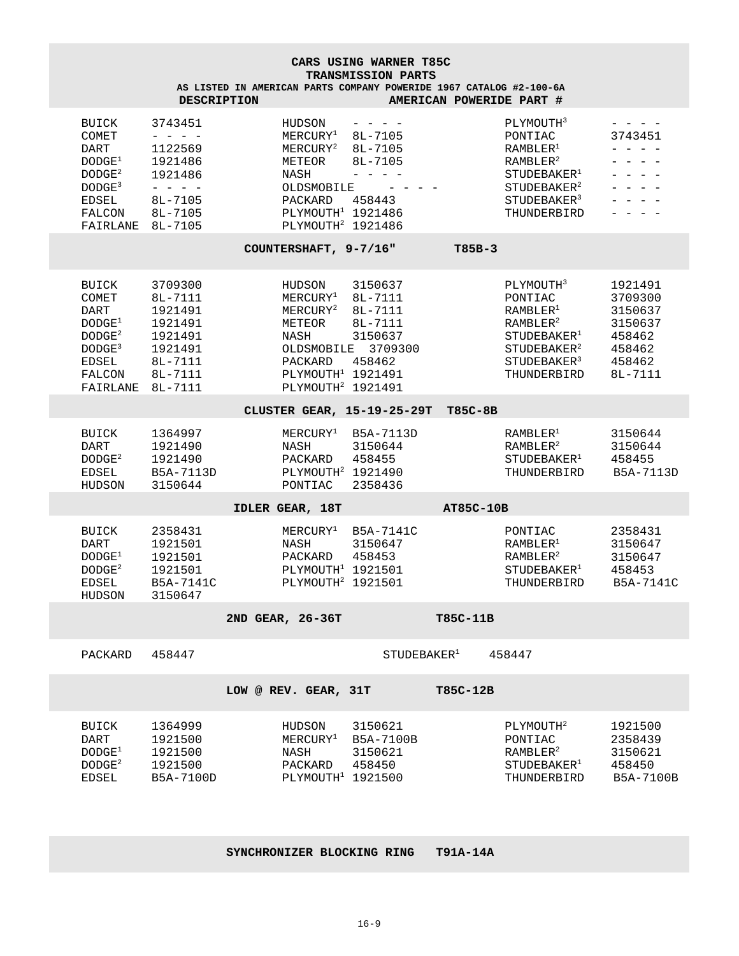| CARS USING WARNER T85C                                                                                                  |                                                                                                                                                                                                                                                                                                                                                                                                                                                                                                                                                         |                                                                                                                                                         |                                                                                     |                          |                                                                                                                                                                                  |                                                                                                                                                                                                                                                                                                                                                                                                                                                                                                                                                                                                                                                                                                                                                                                                          |
|-------------------------------------------------------------------------------------------------------------------------|---------------------------------------------------------------------------------------------------------------------------------------------------------------------------------------------------------------------------------------------------------------------------------------------------------------------------------------------------------------------------------------------------------------------------------------------------------------------------------------------------------------------------------------------------------|---------------------------------------------------------------------------------------------------------------------------------------------------------|-------------------------------------------------------------------------------------|--------------------------|----------------------------------------------------------------------------------------------------------------------------------------------------------------------------------|----------------------------------------------------------------------------------------------------------------------------------------------------------------------------------------------------------------------------------------------------------------------------------------------------------------------------------------------------------------------------------------------------------------------------------------------------------------------------------------------------------------------------------------------------------------------------------------------------------------------------------------------------------------------------------------------------------------------------------------------------------------------------------------------------------|
|                                                                                                                         |                                                                                                                                                                                                                                                                                                                                                                                                                                                                                                                                                         | AS LISTED IN AMERICAN PARTS COMPANY POWERIDE 1967 CATALOG #2-100-6A                                                                                     | TRANSMISSION PARTS                                                                  |                          |                                                                                                                                                                                  |                                                                                                                                                                                                                                                                                                                                                                                                                                                                                                                                                                                                                                                                                                                                                                                                          |
|                                                                                                                         | <b>DESCRIPTION</b>                                                                                                                                                                                                                                                                                                                                                                                                                                                                                                                                      |                                                                                                                                                         |                                                                                     | AMERICAN POWERIDE PART # |                                                                                                                                                                                  |                                                                                                                                                                                                                                                                                                                                                                                                                                                                                                                                                                                                                                                                                                                                                                                                          |
| BUICK<br>COMET<br>DART<br>DODGE <sup>1</sup><br>DODGE <sup>2</sup><br>DODGE <sup>3</sup><br>EDSEL<br>FALCON<br>FAIRLANE | 3743451<br>1122569<br>1921486<br>1921486<br>$\frac{1}{2} \left( \frac{1}{2} \right) \left( \frac{1}{2} \right) \left( \frac{1}{2} \right) \left( \frac{1}{2} \right) \left( \frac{1}{2} \right) \left( \frac{1}{2} \right) \left( \frac{1}{2} \right) \left( \frac{1}{2} \right) \left( \frac{1}{2} \right) \left( \frac{1}{2} \right) \left( \frac{1}{2} \right) \left( \frac{1}{2} \right) \left( \frac{1}{2} \right) \left( \frac{1}{2} \right) \left( \frac{1}{2} \right) \left( \frac{1}{2} \right) \left( \frac$<br>8L-7105<br>8L-7105<br>8L-7105 | HUDSON<br>$MERCURY^1$<br>${\tt MERCURY}^2$<br>METEOR<br>NASH<br>OLDSMOBILE<br>PACKARD<br>PLYMOUTH <sup>1</sup> 1921486<br>PLYMOUTH <sup>2</sup> 1921486 | 8L-7105<br>8L-7105<br>8L-7105<br>.<br>458443                                        |                          | PLYMOUTH <sup>3</sup><br>PONTIAC<br>RAMBLER <sup>1</sup><br>RAMBLER <sup>2</sup><br>STUDEBAKER <sup>1</sup><br>STUDEBAKER <sup>2</sup><br>STUDEBAKER <sup>3</sup><br>THUNDERBIRD | 3743451<br>- - - -<br>$\frac{1}{2} \left( \frac{1}{2} \right) \frac{1}{2} \left( \frac{1}{2} \right) \frac{1}{2} \left( \frac{1}{2} \right) \frac{1}{2} \left( \frac{1}{2} \right) \frac{1}{2} \left( \frac{1}{2} \right) \frac{1}{2} \left( \frac{1}{2} \right) \frac{1}{2} \left( \frac{1}{2} \right) \frac{1}{2} \left( \frac{1}{2} \right) \frac{1}{2} \left( \frac{1}{2} \right) \frac{1}{2} \left( \frac{1}{2} \right) \frac{1}{2} \left( \frac{1}{2} \right)$<br>$\begin{array}{cccccccccc} - & - & - & - & - \end{array}$<br>$\frac{1}{2} \left( \frac{1}{2} \right) \left( \frac{1}{2} \right) \left( \frac{1}{2} \right) \left( \frac{1}{2} \right) \left( \frac{1}{2} \right) \left( \frac{1}{2} \right)$<br>$\begin{array}{cccccccccccccc} - & & - & & - & & - & & - \end{array}$<br>- - - - |
|                                                                                                                         |                                                                                                                                                                                                                                                                                                                                                                                                                                                                                                                                                         | COUNTERSHAFT, 9-7/16"                                                                                                                                   |                                                                                     | $T85B-3$                 |                                                                                                                                                                                  |                                                                                                                                                                                                                                                                                                                                                                                                                                                                                                                                                                                                                                                                                                                                                                                                          |
| BUICK<br>COMET<br>DART<br>$\texttt{DODGE}^1$<br>DODGE <sup>2</sup><br>DODGE <sup>3</sup><br>EDSEL<br>FALCON<br>FAIRLANE | 3709300<br>8L-7111<br>1921491<br>1921491<br>1921491<br>1921491<br>8L-7111<br>8L-7111<br>8L-7111                                                                                                                                                                                                                                                                                                                                                                                                                                                         | HUDSON<br>${\tt MERCURY}^1$<br>$MERCURY^2$<br>METEOR<br>NASH<br>PACKARD<br>PLYMOUTH <sup>1</sup> 1921491<br>PLYMOUTH <sup>2</sup> 1921491               | 3150637<br>8L-7111<br>8L-7111<br>8L-7111<br>3150637<br>OLDSMOBILE 3709300<br>458462 |                          | PLYMOUTH <sup>3</sup><br>PONTIAC<br>RAMBLER <sup>1</sup><br>RAMBLER <sup>2</sup><br>STUDEBAKER <sup>1</sup><br>STUDEBAKER <sup>2</sup><br>STUDEBAKER <sup>3</sup><br>THUNDERBIRD | 1921491<br>3709300<br>3150637<br>3150637<br>458462<br>458462<br>458462<br>8L-7111                                                                                                                                                                                                                                                                                                                                                                                                                                                                                                                                                                                                                                                                                                                        |
|                                                                                                                         |                                                                                                                                                                                                                                                                                                                                                                                                                                                                                                                                                         | CLUSTER GEAR, 15-19-25-29T                                                                                                                              |                                                                                     | T85C-8B                  |                                                                                                                                                                                  |                                                                                                                                                                                                                                                                                                                                                                                                                                                                                                                                                                                                                                                                                                                                                                                                          |
| BUICK<br>DART<br>DODGE <sup>2</sup><br>EDSEL<br>HUDSON                                                                  | 1364997<br>1921490<br>1921490<br>B5A-7113D<br>3150644                                                                                                                                                                                                                                                                                                                                                                                                                                                                                                   | ${\tt MERCURY}^1$<br>NASH<br>PACKARD<br>PLYMOUTH <sup>2</sup> 1921490<br>PONTIAC                                                                        | B5A-7113D<br>3150644<br>458455<br>2358436                                           |                          | RAMBLER <sup>1</sup><br>RAMBLER <sup>2</sup><br>$STUDEBAKER^{\perp}$<br>THUNDERBIRD                                                                                              | 3150644<br>3150644<br>458455<br>B5A-7113D                                                                                                                                                                                                                                                                                                                                                                                                                                                                                                                                                                                                                                                                                                                                                                |
|                                                                                                                         |                                                                                                                                                                                                                                                                                                                                                                                                                                                                                                                                                         | IDLER GEAR, 18T                                                                                                                                         |                                                                                     | AT85C-10B                |                                                                                                                                                                                  |                                                                                                                                                                                                                                                                                                                                                                                                                                                                                                                                                                                                                                                                                                                                                                                                          |
| BUICK<br>DART<br>DODGE <sup>1</sup><br>DODGE <sup>2</sup><br>EDSEL<br>HUDSON                                            | 2358431<br>1921501<br>1921501<br>1921501<br>B5A-7141C<br>3150647                                                                                                                                                                                                                                                                                                                                                                                                                                                                                        | $MERCURY^1$<br>NASH<br>PACKARD<br>PLYMOUTH <sup>1</sup> 1921501<br>PLYMOUTH <sup>2</sup> 1921501                                                        | B5A-7141C<br>3150647<br>458453                                                      |                          | PONTIAC<br>RAMBLER <sup>1</sup><br>RAMBLER <sup>2</sup><br>STUDEBAKER <sup>1</sup><br>THUNDERBIRD                                                                                | 2358431<br>3150647<br>3150647<br>458453<br>B5A-7141C                                                                                                                                                                                                                                                                                                                                                                                                                                                                                                                                                                                                                                                                                                                                                     |
|                                                                                                                         |                                                                                                                                                                                                                                                                                                                                                                                                                                                                                                                                                         | 2ND GEAR, 26-36T                                                                                                                                        |                                                                                     | T85C-11B                 |                                                                                                                                                                                  |                                                                                                                                                                                                                                                                                                                                                                                                                                                                                                                                                                                                                                                                                                                                                                                                          |
| PACKARD                                                                                                                 | 458447                                                                                                                                                                                                                                                                                                                                                                                                                                                                                                                                                  |                                                                                                                                                         | $\mathtt{STUDEBAKER}^1$                                                             |                          | 458447                                                                                                                                                                           |                                                                                                                                                                                                                                                                                                                                                                                                                                                                                                                                                                                                                                                                                                                                                                                                          |
|                                                                                                                         |                                                                                                                                                                                                                                                                                                                                                                                                                                                                                                                                                         | LOW @ REV. GEAR, 31T                                                                                                                                    |                                                                                     | T85C-12B                 |                                                                                                                                                                                  |                                                                                                                                                                                                                                                                                                                                                                                                                                                                                                                                                                                                                                                                                                                                                                                                          |
| BUICK<br>DART<br>DODGE <sup>1</sup><br>DODGE <sup>2</sup><br>EDSEL                                                      | 1364999<br>1921500<br>1921500<br>1921500<br>B5A-7100D                                                                                                                                                                                                                                                                                                                                                                                                                                                                                                   | HUDSON<br>${\tt MERCURY}^1$<br>NASH<br>PACKARD<br>PLYMOUTH <sup>1</sup> 1921500                                                                         | 3150621<br>B5A-7100B<br>3150621<br>458450                                           |                          | PLYMOUTH <sup>2</sup><br>PONTIAC<br>RAMBLER <sup>2</sup><br>STUDEBAKER <sup>1</sup><br>THUNDERBIRD                                                                               | 1921500<br>2358439<br>3150621<br>458450<br>B5A-7100B                                                                                                                                                                                                                                                                                                                                                                                                                                                                                                                                                                                                                                                                                                                                                     |

#### **SYNCHRONIZER BLOCKING RING T91A-14A**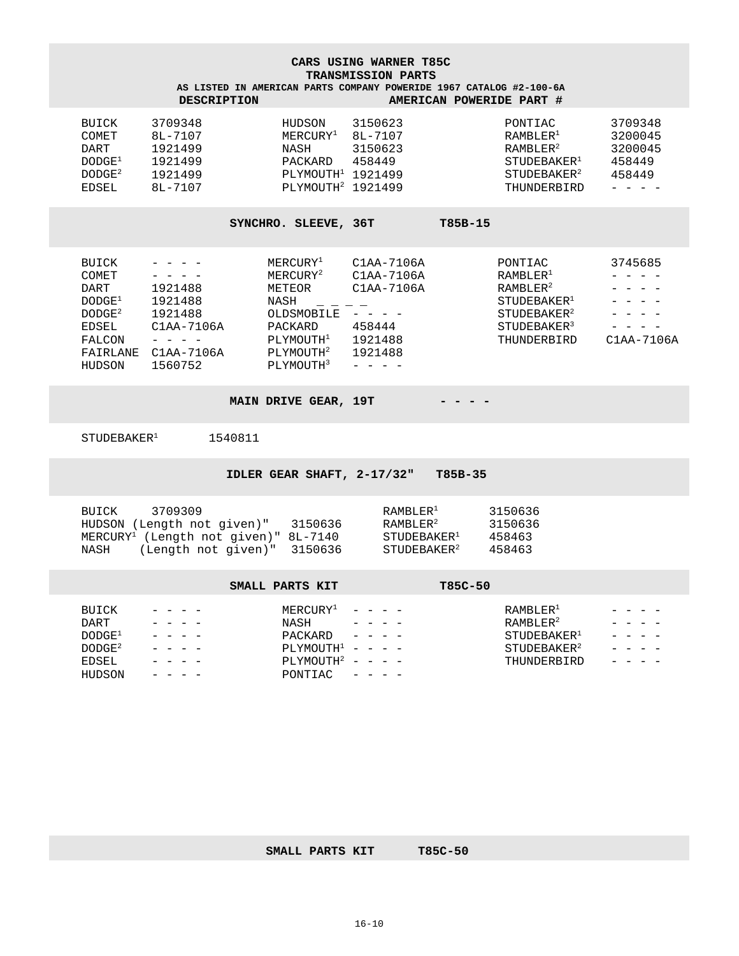**CARS USING WARNER T85C TRANSMISSION PARTS**

**AS LISTED IN AMERICAN PARTS COMPANY POWERIDE 1967 CATALOG #2-100-6A DESCRIPTION AMERICAN POWERIDE PART #**

| BUICK              | 3709348 | HUDSON              | 3150623 | PONTIAC                 | 3709348 |
|--------------------|---------|---------------------|---------|-------------------------|---------|
| COMET              | 8L-7107 | $MERCIIRY^1$        | 8L-7107 | RAMRI.F.R <sup>1</sup>  | 3200045 |
| DART               | 1921499 | NASH                | 3150623 | RAMB LER <sup>2</sup>   | 3200045 |
| DODGE <sup>1</sup> | 1921499 | PACKARD             | 458449  | $STUDEBAKER^{\perp}$    | 458449  |
| DODGE <sup>2</sup> | 1921499 | $PLYMOUTH1$ 1921499 |         | STUDEBAKER <sup>2</sup> | 458449  |
| EDSEL              | 8L-7107 | $PLYMOUTH2$ 1921499 |         | THUNDERBIRD             |         |
|                    |         |                     |         |                         |         |

SYNCHRO. SLEEVE, 36T T85B-15

| BUICK              |              | MERCURY <sup>1</sup>  | $C1AA-7106A$ | PONTIAC                 | 3745685    |
|--------------------|--------------|-----------------------|--------------|-------------------------|------------|
| COMET              |              | MERCURY <sup>2</sup>  | $C1AA-7106A$ | RAMBLER <sup>1</sup>    |            |
| DART               | 1921488      | METEOR                | $C1AA-7106A$ | $RAMBLRR^2$             |            |
| DODGE <sup>1</sup> | 1921488      | NASH                  |              | STUDEBAKER <sup>1</sup> |            |
| DODGE <sup>2</sup> | 1921488      | OLDSMOBILE            | -            | STUDEBAKER <sup>2</sup> |            |
| EDSEL              | $C1AA-7106A$ | PACKARD               | 458444       | STUDEBAKER <sup>3</sup> |            |
| FALCON             |              | PLYMOUTH <sup>1</sup> | 1921488      | THUNDERBIRD             | C1AA-7106A |
| FAIRLANE           | $C1AA-7106A$ | PLYMOUTH <sup>2</sup> | 1921488      |                         |            |
| HUDSON             | 1560752      | PLYMOUTH <sup>3</sup> |              |                         |            |
|                    |              |                       |              |                         |            |

**MAIN DRIVE GEAR, 19T - - - -**

 $\verb|STUDEBAKER|^{1} \qquad \qquad \verb|1540811|$ 

**IDLER GEAR SHAFT, 2-17/32" T85B-35** 

| 3709309<br>RUTCK                       |         | RAMB LER <sup>1</sup>   | 3150636 |
|----------------------------------------|---------|-------------------------|---------|
| HUDSON (Length not given)"             | 3150636 | RAMB LER <sup>2</sup>   | 3150636 |
| $MERCURY1$ (Length not given)" 8L-7140 |         | STUDERAKER <sup>1</sup> | 458463  |
| (Length not given)" 3150636<br>NASH    |         | STUDEBAKER <sup>2</sup> | 458463  |

|                                                                                    | SMALL PARTS KIT                                                                             | T85C-50                                                                                                                                                                                                                                                                                                                                                                                                                                                                                                                                                                                                                          |  |
|------------------------------------------------------------------------------------|---------------------------------------------------------------------------------------------|----------------------------------------------------------------------------------------------------------------------------------------------------------------------------------------------------------------------------------------------------------------------------------------------------------------------------------------------------------------------------------------------------------------------------------------------------------------------------------------------------------------------------------------------------------------------------------------------------------------------------------|--|
| BUICK<br>DART<br>DODGE <sup>1</sup><br>DODE <sup>2</sup><br><b>EDSEL</b><br>HUDSON | $MERCURY^1$<br>NASH<br>PACKARD<br>PLYMOUTH <sup>1</sup><br>PLYMOUTH <sup>2</sup><br>PONTIAC | RAMBLER <sup>1</sup><br>$\label{eq:2.1} \begin{array}{cccccccccc} \mathbf{1} & \mathbf{1} & \mathbf{1} & \mathbf{1} & \mathbf{1} & \mathbf{1} & \mathbf{1} & \mathbf{1} & \mathbf{1} & \mathbf{1} & \mathbf{1} & \mathbf{1} & \mathbf{1} & \mathbf{1} & \mathbf{1} & \mathbf{1} & \mathbf{1} & \mathbf{1} & \mathbf{1} & \mathbf{1} & \mathbf{1} & \mathbf{1} & \mathbf{1} & \mathbf{1} & \mathbf{1} & \mathbf{1} & \mathbf{1} & \mathbf{1} & \mathbf{1}$<br>RAMB LER <sup>2</sup><br>STUDEBAKER <sup>1</sup><br>$\begin{array}{cccccccccccccc} - & & - & & - & & - & & - \end{array}$<br>STUDEBAKER <sup>2</sup><br>THUNDERBIRD |  |

SMALL PARTS KIT T85C-50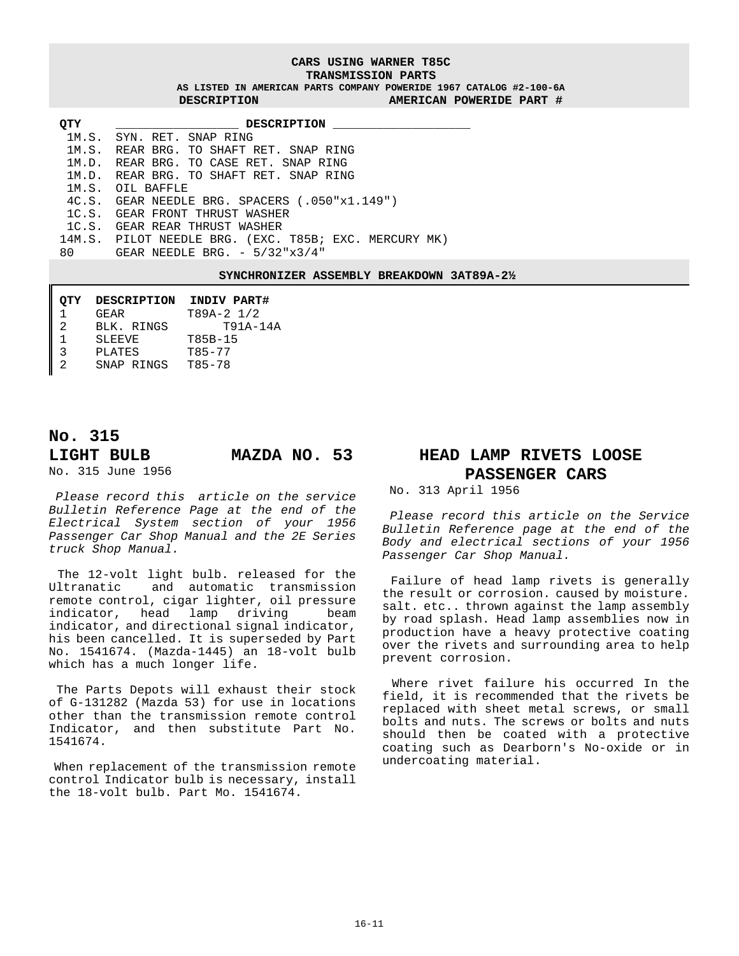#### **CARS USING WARNER T85C TRANSMISSION PARTS**

**AS LISTED IN AMERICAN PARTS COMPANY POWERIDE 1967 CATALOG #2-100-6A DESCRIPTION AMERICAN POWERIDE PART #**

| <b>OTY</b> | DESCRIPTION                                           |
|------------|-------------------------------------------------------|
|            | 1M.S. SYN. RET. SNAP RING                             |
|            | 1M.S. REAR BRG. TO SHAFT RET. SNAP RING               |
|            | 1M.D. REAR BRG. TO CASE RET. SNAP RING                |
|            | 1M.D. REAR BRG. TO SHAFT RET. SNAP RING               |
|            | 1M.S. OTT, BAFFLE                                     |
|            | 4C.S. GEAR NEEDLE BRG. SPACERS (.050"x1.149")         |
|            | 1C.S. GEAR FRONT THRUST WASHER                        |
|            | 1C.S. GEAR REAR THRUST WASHER                         |
|            | 14M.S. PILOT NEEDLE BRG. (EXC. T85B; EXC. MERCURY MK) |
|            | 80 GEAR NEEDLE BRG. $-5/32"x3/4"$                     |

**SYNCHRONIZER ASSEMBLY BREAKDOWN 3AT89A-2½** 

| OTY | DESCRIPTION   | INDIV PART#  |
|-----|---------------|--------------|
|     | <b>GEAR</b>   | $T89A-2$ 1/2 |
| 2   | BLK, RINGS    | $T91A-14A$   |
|     | <b>SLEEVE</b> | T85B-15      |
| ર   | PLATES        | $T85 - 77$   |
| 2   | SNAP RINGS    | T85-78       |

## **No. 315 LIGHT BULB MAZDA NO. 53**

No. 315 June 1956

 *Please record this article on the service Bulletin Reference Page at the end of the Electrical System section of your 1956 Passenger Car Shop Manual and the 2E Series truck Shop Manual.*

 The 12-volt light bulb. released for the Ultranatic and automatic transmission remote control, cigar lighter, oil pressure indicator, head lamp driving beam indicator, and directional signal indicator, his been cancelled. It is superseded by Part No. 1541674. (Mazda-1445) an 18-volt bulb which has a much longer life.

 The Parts Depots will exhaust their stock of G-131282 (Mazda 53) for use in locations other than the transmission remote control Indicator, and then substitute Part No. 1541674.

When replacement of the transmission remote control Indicator bulb is necessary, install the 18-volt bulb. Part Mo. 1541674.

### **HEAD LAMP RIVETS LOOSE PASSENGER CARS**

No. 313 April 1956

 *Please record this article on the Service Bulletin Reference page at the end of the Body and electrical sections of your 1956 Passenger Car Shop Manual.*

 Failure of head lamp rivets is generally the result or corrosion. caused by moisture. salt. etc.. thrown against the lamp assembly by road splash. Head lamp assemblies now in production have a heavy protective coating over the rivets and surrounding area to help prevent corrosion.

 Where rivet failure his occurred In the field, it is recommended that the rivets be replaced with sheet metal screws, or small bolts and nuts. The screws or bolts and nuts should then be coated with a protective coating such as Dearborn's No-oxide or in undercoating material.